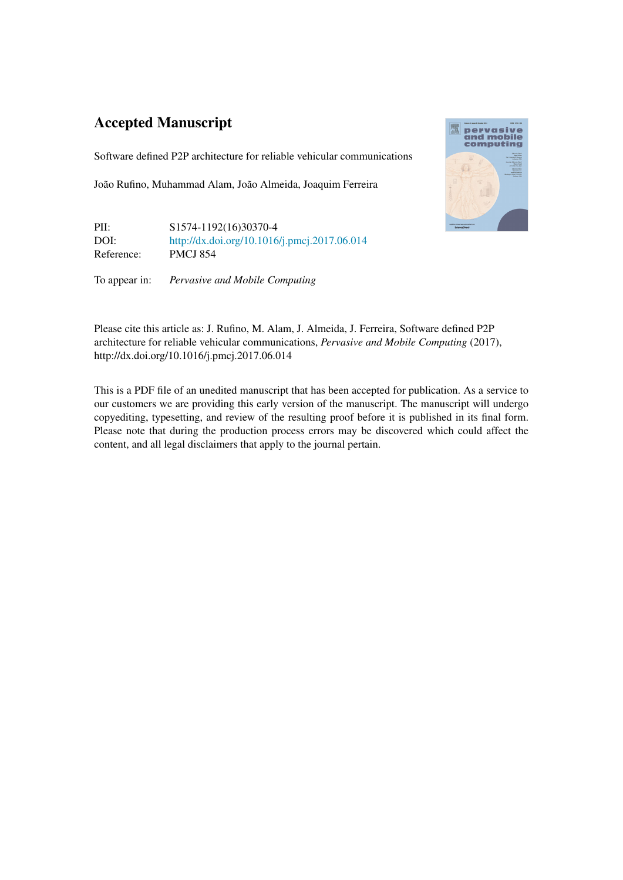## Accepted Manuscript

Software defined P2P architecture for reliable vehicular communications

João Rufino, Muhammad Alam, João Almeida, Joaquim Ferreira

PII: S1574-1192(16)30370-4 DOI: <http://dx.doi.org/10.1016/j.pmcj.2017.06.014> Reference: PMCJ 854

To appear in: *Pervasive and Mobile Computing*



Please cite this article as: J. Rufino, M. Alam, J. Almeida, J. Ferreira, Software defined P2P architecture for reliable vehicular communications, *Pervasive and Mobile Computing* (2017), http://dx.doi.org/10.1016/j.pmcj.2017.06.014

This is a PDF file of an unedited manuscript that has been accepted for publication. As a service to our customers we are providing this early version of the manuscript. The manuscript will undergo copyediting, typesetting, and review of the resulting proof before it is published in its final form. Please note that during the production process errors may be discovered which could affect the content, and all legal disclaimers that apply to the journal pertain.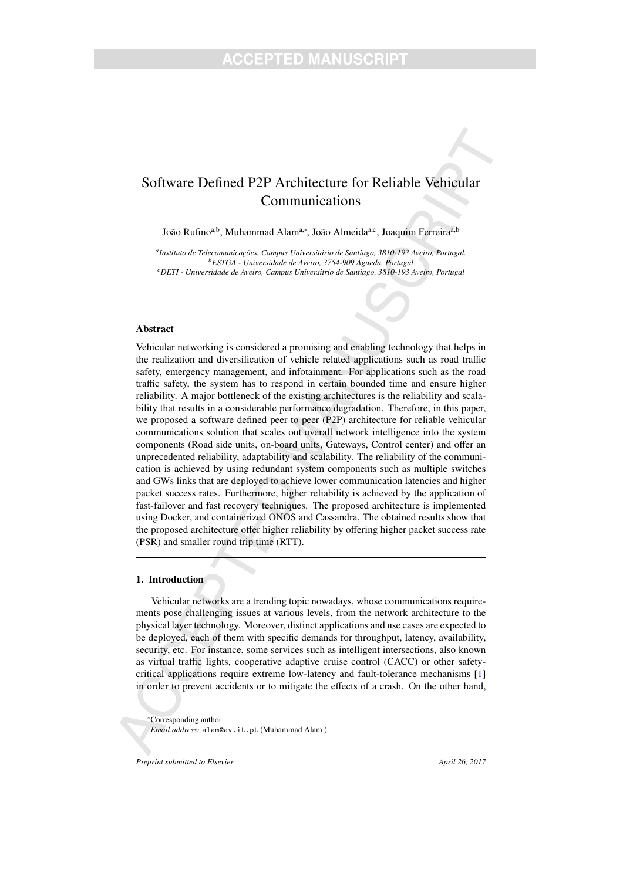### Software Defined P2P Architecture for Reliable Vehicular Communications

João Rufino<sup>a,b</sup>, Muhammad Alam<sup>a,∗</sup>, João Almeida<sup>a,c</sup>, Joaquim Ferreira<sup>a,b</sup>

<sup>a</sup> Instituto de Telecomunicações, Campus Universitário de Santiago, 3810-193 Aveiro, Portugal. *<sup>b</sup>ESTGA - Universidade de Aveiro, 3754-909 Agueda, Portugal ´ <sup>c</sup>DETI - Universidade de Aveiro, Campus Universitrio de Santiago, 3810-193 Aveiro, Portugal*

#### Abstract

Vehicular networking is considered a promising and enabling technology that helps in the realization and diversification of vehicle related applications such as road traffic safety, emergency management, and infotainment. For applications such as the road traffic safety, the system has to respond in certain bounded time and ensure higher reliability. A major bottleneck of the existing architectures is the reliability and scalability that results in a considerable performance degradation. Therefore, in this paper, we proposed a software defined peer to peer (P2P) architecture for reliable vehicular communications solution that scales out overall network intelligence into the system components (Road side units, on-board units, Gateways, Control center) and offer an unprecedented reliability, adaptability and scalability. The reliability of the communication is achieved by using redundant system components such as multiple switches and GWs links that are deployed to achieve lower communication latencies and higher packet success rates. Furthermore, higher reliability is achieved by the application of fast-failover and fast recovery techniques. The proposed architecture is implemented using Docker, and containerized ONOS and Cassandra. The obtained results show that the proposed architecture offer higher reliability by offering higher packet success rate (PSR) and smaller round trip time (RTT).

#### 1. Introduction

Vehicular networks are a trending topic nowadays, whose communications requirements pose challenging issues at various levels, from the network architecture to the physical layer technology. Moreover, distinct applications and use cases are expected to be deployed, each of them with specific demands for throughput, latency, availability, security, etc. For instance, some services such as intelligent intersections, also known as virtual traffic lights, cooperative adaptive cruise control (CACC) or other safetycritical applications require extreme low-latency and fault-tolerance mechanisms [1] in order to prevent accidents or to mitigate the effects of a crash. On the other hand,

*Preprint submitted to Elsevier* April 26, 2017

<sup>∗</sup>Corresponding author *Email address:* alam@av.it.pt (Muhammad Alam )